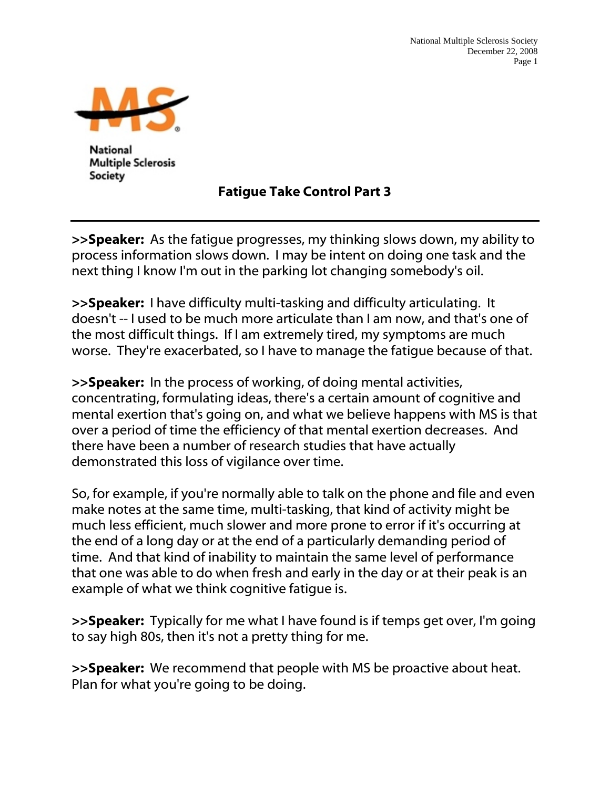

**National Multiple Sclerosis** Society

## Fatigue Take Control Part 3

>>Speaker: As the fatigue progresses, my thinking slows down, my ability to process information slows down. I may be intent on doing one task and the next thing I know I'm out in the parking lot changing somebody's oil.

>>Speaker: I have difficulty multi-tasking and difficulty articulating. It doesn't -- I used to be much more articulate than I am now, and that's one of the most difficult things. If I am extremely tired, my symptoms are much worse. They're exacerbated, so I have to manage the fatigue because of that.

>>Speaker: In the process of working, of doing mental activities, concentrating, formulating ideas, there's a certain amount of cognitive and mental exertion that's going on, and what we believe happens with MS is that over a period of time the efficiency of that mental exertion decreases. And there have been a number of research studies that have actually demonstrated this loss of vigilance over time.

So, for example, if you're normally able to talk on the phone and file and even make notes at the same time, multi-tasking, that kind of activity might be much less efficient, much slower and more prone to error if it's occurring at the end of a long day or at the end of a particularly demanding period of time. And that kind of inability to maintain the same level of performance that one was able to do when fresh and early in the day or at their peak is an example of what we think cognitive fatigue is.

>>Speaker: Typically for me what I have found is if temps get over, I'm going to say high 80s, then it's not a pretty thing for me.

>>Speaker: We recommend that people with MS be proactive about heat. Plan for what you're going to be doing.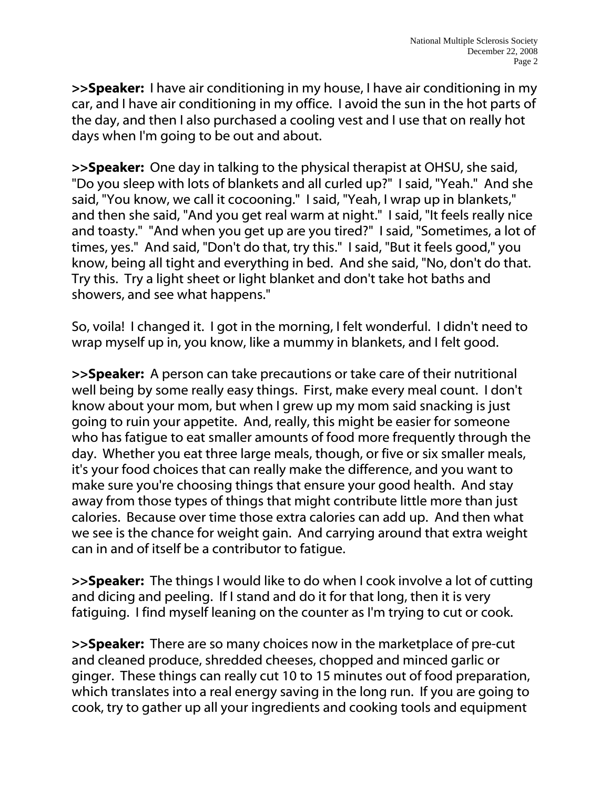>>Speaker: I have air conditioning in my house, I have air conditioning in my car, and I have air conditioning in my office. I avoid the sun in the hot parts of the day, and then I also purchased a cooling vest and I use that on really hot days when I'm going to be out and about.

>>Speaker: One day in talking to the physical therapist at OHSU, she said, "Do you sleep with lots of blankets and all curled up?" I said, "Yeah." And she said, "You know, we call it cocooning." I said, "Yeah, I wrap up in blankets," and then she said, "And you get real warm at night." I said, "It feels really nice and toasty." "And when you get up are you tired?" I said, "Sometimes, a lot of times, yes." And said, "Don't do that, try this." I said, "But it feels good," you know, being all tight and everything in bed. And she said, "No, don't do that. Try this. Try a light sheet or light blanket and don't take hot baths and showers, and see what happens."

So, voila! I changed it. I got in the morning, I felt wonderful. I didn't need to wrap myself up in, you know, like a mummy in blankets, and I felt good.

>>Speaker: A person can take precautions or take care of their nutritional well being by some really easy things. First, make every meal count. I don't know about your mom, but when I grew up my mom said snacking is just going to ruin your appetite. And, really, this might be easier for someone who has fatigue to eat smaller amounts of food more frequently through the day. Whether you eat three large meals, though, or five or six smaller meals, it's your food choices that can really make the difference, and you want to make sure you're choosing things that ensure your good health. And stay away from those types of things that might contribute little more than just calories. Because over time those extra calories can add up. And then what we see is the chance for weight gain. And carrying around that extra weight can in and of itself be a contributor to fatigue.

>>Speaker: The things I would like to do when I cook involve a lot of cutting and dicing and peeling. If I stand and do it for that long, then it is very fatiguing. I find myself leaning on the counter as I'm trying to cut or cook.

>>Speaker: There are so many choices now in the marketplace of pre-cut and cleaned produce, shredded cheeses, chopped and minced garlic or ginger. These things can really cut 10 to 15 minutes out of food preparation, which translates into a real energy saving in the long run. If you are going to cook, try to gather up all your ingredients and cooking tools and equipment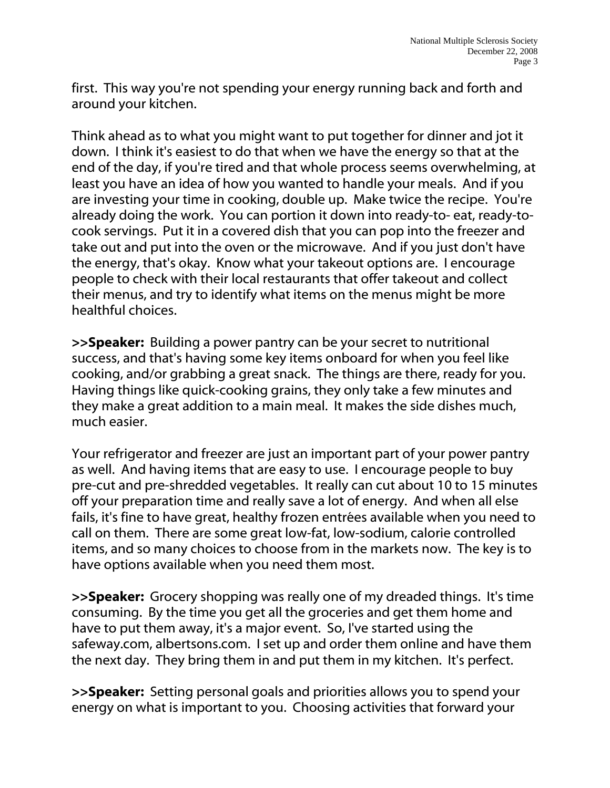first. This way you're not spending your energy running back and forth and around your kitchen.

Think ahead as to what you might want to put together for dinner and jot it down. I think it's easiest to do that when we have the energy so that at the end of the day, if you're tired and that whole process seems overwhelming, at least you have an idea of how you wanted to handle your meals. And if you are investing your time in cooking, double up. Make twice the recipe. You're already doing the work. You can portion it down into ready-to- eat, ready-tocook servings. Put it in a covered dish that you can pop into the freezer and take out and put into the oven or the microwave. And if you just don't have the energy, that's okay. Know what your takeout options are. I encourage people to check with their local restaurants that offer takeout and collect their menus, and try to identify what items on the menus might be more healthful choices.

>>Speaker: Building a power pantry can be your secret to nutritional success, and that's having some key items onboard for when you feel like cooking, and/or grabbing a great snack. The things are there, ready for you. Having things like quick-cooking grains, they only take a few minutes and they make a great addition to a main meal. It makes the side dishes much, much easier.

Your refrigerator and freezer are just an important part of your power pantry as well. And having items that are easy to use. I encourage people to buy pre-cut and pre-shredded vegetables. It really can cut about 10 to 15 minutes off your preparation time and really save a lot of energy. And when all else fails, it's fine to have great, healthy frozen entrées available when you need to call on them. There are some great low-fat, low-sodium, calorie controlled items, and so many choices to choose from in the markets now. The key is to have options available when you need them most.

>>Speaker: Grocery shopping was really one of my dreaded things. It's time consuming. By the time you get all the groceries and get them home and have to put them away, it's a major event. So, I've started using the safeway.com, albertsons.com. I set up and order them online and have them the next day. They bring them in and put them in my kitchen. It's perfect.

>>Speaker: Setting personal goals and priorities allows you to spend your energy on what is important to you. Choosing activities that forward your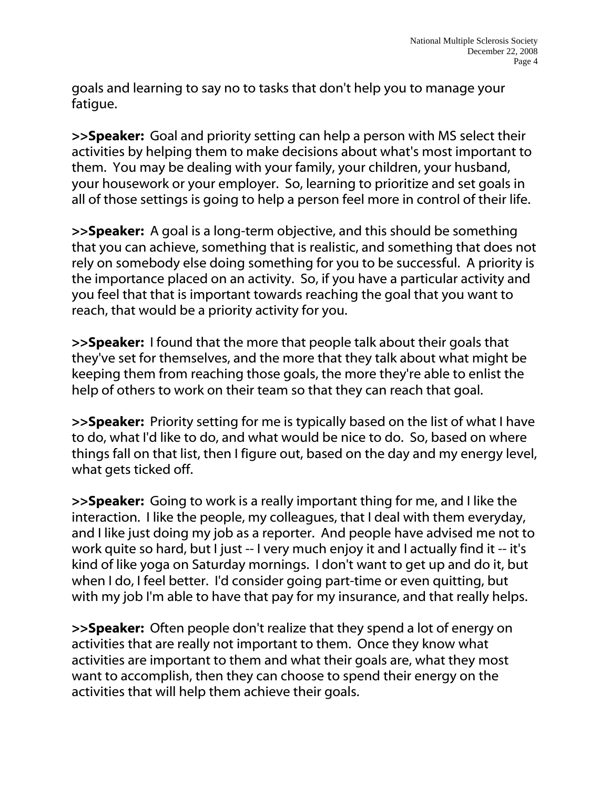goals and learning to say no to tasks that don't help you to manage your fatigue.

>>Speaker: Goal and priority setting can help a person with MS select their activities by helping them to make decisions about what's most important to them. You may be dealing with your family, your children, your husband, your housework or your employer. So, learning to prioritize and set goals in all of those settings is going to help a person feel more in control of their life.

>>Speaker: A goal is a long-term objective, and this should be something that you can achieve, something that is realistic, and something that does not rely on somebody else doing something for you to be successful. A priority is the importance placed on an activity. So, if you have a particular activity and you feel that that is important towards reaching the goal that you want to reach, that would be a priority activity for you.

>>Speaker: I found that the more that people talk about their goals that they've set for themselves, and the more that they talk about what might be keeping them from reaching those goals, the more they're able to enlist the help of others to work on their team so that they can reach that goal.

>>Speaker: Priority setting for me is typically based on the list of what I have to do, what I'd like to do, and what would be nice to do. So, based on where things fall on that list, then I figure out, based on the day and my energy level, what gets ticked off.

>>Speaker: Going to work is a really important thing for me, and I like the interaction. I like the people, my colleagues, that I deal with them everyday, and I like just doing my job as a reporter. And people have advised me not to work quite so hard, but I just -- I very much enjoy it and I actually find it -- it's kind of like yoga on Saturday mornings. I don't want to get up and do it, but when I do, I feel better. I'd consider going part-time or even quitting, but with my job I'm able to have that pay for my insurance, and that really helps.

>>Speaker: Often people don't realize that they spend a lot of energy on activities that are really not important to them. Once they know what activities are important to them and what their goals are, what they most want to accomplish, then they can choose to spend their energy on the activities that will help them achieve their goals.